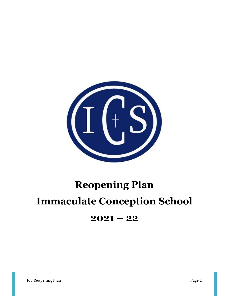

# **Reopening Plan Immaculate Conception School**

# **2021 – 22**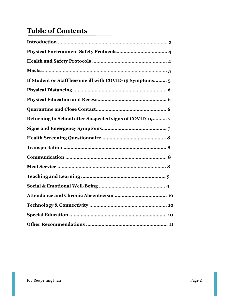# **Table of Contents**

| If Student or Staff become ill with COVID-19 Symptoms 5 |
|---------------------------------------------------------|
|                                                         |
|                                                         |
|                                                         |
| Returning to School after Suspected signs of COVID-19 7 |
|                                                         |
|                                                         |
|                                                         |
|                                                         |
|                                                         |
|                                                         |
|                                                         |
|                                                         |
|                                                         |
|                                                         |
|                                                         |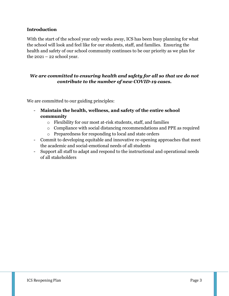#### **Introduction**

With the start of the school year only weeks away, ICS has been busy planning for what the school will look and feel like for our students, staff, and families. Ensuring the health and safety of our school community continues to be our priority as we plan for the  $2021 - 22$  school year.

#### *We are committed to ensuring health and safety for all so that we do not contribute to the number of new COVID-19 cases.*

We are committed to our guiding principles:

- **Maintain the health, wellness, and safety of the entire school community**
	- o Flexibility for our most at-risk students, staff, and families
	- o Compliance with social distancing recommendations and PPE as required
	- o Preparedness for responding to local and state orders
- Commit to developing equitable and innovative re-opening approaches that meet the academic and social-emotional needs of all students
- Support all staff to adapt and respond to the instructional and operational needs of all stakeholders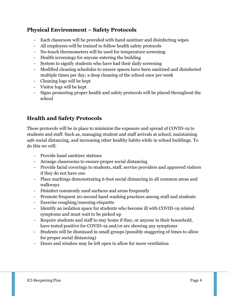# **Physical Environment – Safety Protocols**

- Each classroom will be provided with hand sanitizer and disinfecting wipes
- All employees will be trained to follow health safety protocols
- No-touch thermometers will be used for temperature screening
- Health screenings for anyone entering the building
- System to signify students who have had their daily screening
- Modified cleaning schedules to ensure spaces have been sanitized and disinfected multiple times per day; a deep cleaning of the school once per week
- Cleaning logs will be kept
- Visitor logs will be kept
- Signs promoting proper health and safety protocols will be placed throughout the school

# **Health and Safety Protocols**

These protocols will be in place to minimize the exposure and spread of COVID-19 to students and staff: Such as, managing student and staff arrivals at school, maintaining safe social distancing, and increasing other healthy habits while in school buildings. To do this we will:

- Provide hand sanitizer stations
- Arrange classrooms to ensure proper social distancing
- Provide facial coverings to students, staff, service providers and approved visitors if they do not have one
- Place markings demonstrating 6-foot social distancing in all common areas and walkways
- Disinfect commonly used surfaces and areas frequently
- Promote frequent 20-second hand washing practices among staff and students
- Exercise coughing/sneezing etiquette
- Identify an isolation space for students who become ill with COVID-19 related symptoms and must wait to be picked up
- Require students and staff to stay home if they, or anyone in their household, have tested positive for COVID-19 and/or are showing any symptoms
- Students will be dismissed in small groups (possibly staggering of times to allow for proper social distancing)
- Doors and window may be left open to allow for more ventilation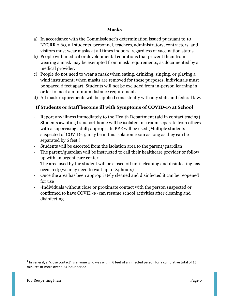#### **Masks**

- a) In accordance with the Commissioner's determination issued pursuant to 10 NYCRR 2.60, all students, personnel, teachers, administrators, contractors, and visitors must wear masks at all times indoors, regardless of vaccination status.
- b) People with medical or developmental conditions that prevent them from wearing a mask may be exempted from mask requirements, as documented by a medical provider.
- c) People do not need to wear a mask when eating, drinking, singing, or playing a wind instrument; when masks are removed for these purposes, individuals must be spaced 6 feet apart. Students will not be excluded from in-person learning in order to meet a minimum distance requirement.
- d) All mask requirements will be applied consistently with any state and federal law.

### **If Students or Staff become ill with Symptoms of COVID-19 at School**

- Report any illness immediately to the Health Department (aid in contact tracing)
- Students awaiting transport home will be isolated in a room separate from others with a supervising adult; appropriate PPE will be used (Multiple students suspected of COVID-19 may be in this isolation room as long as they can be separated by 6 feet.)
- Students will be escorted from the isolation area to the parent/guardian
- The parent/guardian will be instructed to call their healthcare provider or follow up with an urgent care center
- The area used by the student will be closed off until cleaning and disinfecting has occurred; (we may need to wait up to 24 hours)
- Once the area has been appropriately cleaned and disinfected it can be reopened for use
- <sup>1</sup>Individuals without close or proximate contact with the person suspected or confirmed to have COVID-19 can resume school activities after cleaning and disinfecting

l

 $^1$  In general, a "close contact" is anyone who was within 6 feet of an infected person for a cumulative total of 15 minutes or more over a 24-hour period.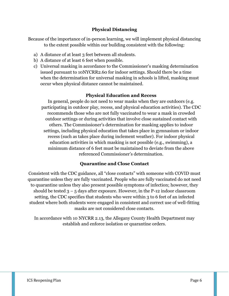#### **Physical Distancing**

Because of the importance of in-person learning, we will implement physical distancing to the extent possible within our building consistent with the following:

- a) A distance of at least 3 feet between all students.
- b) A distance of at least 6 feet when possible.
- c) Universal masking in accordance to the Commissioner's masking determination issued pursuant to 10NYCRR2.60 for indoor settings. Should there be a time when the determination for universal masking in schools is lifted, masking must occur when physical distance cannot be maintained.

#### **Physical Education and Recess**

In general, people do not need to wear masks when they are outdoors (e.g. participating in outdoor play, recess, and physical education activities). The CDC recommends those who are not fully vaccinated to wear a mask in crowded outdoor settings or during activities that involve close sustained contact with others. The Commissioner's determination for masking applies to indoor settings, including physical education that takes place in gymnasium or indoor recess (such as takes place during inclement weather). For indoor physical education activities in which masking is not possible (e.g., swimming), a minimum distance of 6 feet must be maintained to deviate from the above referenced Commissioner's determination.

#### **Quarantine and Close Contact**

Consistent with the CDC guidance, all "close contacts" with someone with COVID must quarantine unless they are fully vaccinated. People who are fully vaccinated do not need to quarantine unless they also present possible symptoms of infection; however, they should be tested  $3 - 5$  days after exposure. However, in the P-12 indoor classroom setting, the CDC specifies that students who were within 3 to 6 feet of an infected student where both students were engaged in consistent and correct use of well-fitting masks are not considered close contacts.

In accordance with 10 NYCRR 2.13, the Allegany County Health Department may establish and enforce isolation or quarantine orders.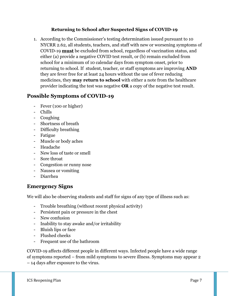#### **Returning to School after Suspected Signs of COVID-19**

1. According to the Commissioner's testing determination issued pursuant to 10 NYCRR 2.62, all students, teachers, and staff with new or worsening symptoms of COVID-19 **must** be excluded from school, regardless of vaccination status, and either (a) provide a negative COVID test result, or (b) remain excluded from school for a minimum of 10 calendar days from symptom onset, prior to returning to school. If student, teacher, or staff symptoms are improving **AND** they are fever free for at least 24 hours without the use of fever reducing medicines, they **may return to school** with either a note from the healthcare provider indicating the test was negative **OR** a copy of the negative test result.

# **Possible Symptoms of COVID-19**

- Fever (100 or higher)
- Chills
- Coughing
- Shortness of breath
- Difficulty breathing
- Fatigue
- Muscle or body aches
- Headache
- New loss of taste or smell
- Sore throat
- Congestion or runny nose
- Nausea or vomiting
- Diarrhea

## **Emergency Signs**

We will also be observing students and staff for signs of any type of illness such as:

- Trouble breathing (without recent physical activity)
- Persistent pain or pressure in the chest
- New confusion
- Inability to stay awake and/or irritability
- Bluish lips or face
- Flushed cheeks
- Frequent use of the bathroom

COVID-19 affects different people in different ways. Infected people have a wide range of symptoms reported – from mild symptoms to severe illness. Symptoms may appear 2 – 14 days after exposure to the virus.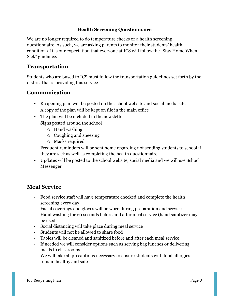#### **Health Screening Questionnaire**

We are no longer required to do temperature checks or a health screening questionnaire. As such, we are asking parents to monitor their students' health conditions. It is our expectation that everyone at ICS will follow the "Stay Home When Sick" guidance.

# **Transportation**

Students who are bused to ICS must follow the transportation guidelines set forth by the district that is providing this service

# **Communication**

- Reopening plan will be posted on the school website and social media site
- A copy of the plan will be kept on file in the main office
- The plan will be included in the newsletter
- Signs posted around the school
	- o Hand washing
	- o Coughing and sneezing
	- o Masks required
- Frequent reminders will be sent home regarding not sending students to school if they are sick as well as completing the health questionnaire
- Updates will be posted to the school website, social media and we will use School Messenger

# **Meal Service**

- Food service staff will have temperature checked and complete the health screening every day
- Facial coverings and gloves will be worn during preparation and service
- Hand washing for 20 seconds before and after meal service (hand sanitizer may be used
- Social distancing will take place during meal service
- Students will not be allowed to share food
- Tables will be cleaned and sanitized before and after each meal service
- If needed we will consider options such as serving bag lunches or delivering meals to classrooms
- We will take all precautions necessary to ensure students with food allergies remain healthy and safe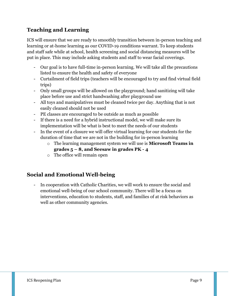# **Teaching and Learning**

ICS will ensure that we are ready to smoothly transition between in-person teaching and learning or at-home learning as our COVID-19 conditions warrant. To keep students and staff safe while at school, health screening and social distancing measures will be put in place. This may include asking students and staff to wear facial coverings.

- Our goal is to have full-time in-person learning. We will take all the precautions listed to ensure the health and safety of everyone
- Curtailment of field trips (teachers will be encouraged to try and find virtual field trips)
- Only small groups will be allowed on the playground; hand sanitizing will take place before use and strict handwashing after playground use
- All toys and manipulatives must be cleaned twice per day. Anything that is not easily cleaned should not be used
- PE classes are encouraged to be outside as much as possible
- If there is a need for a hybrid instructional model, we will make sure its implementation will be what is best to meet the needs of our students
- In the event of a closure we will offer virtual learning for our students for the duration of time that we are not in the building for in-person learning
	- o The learning management system we will use is **Microsoft Teams in grades 5 – 8, and Seesaw in grades PK - 4**
	- o The office will remain open

# **Social and Emotional Well-being**

In cooperation with Catholic Charities, we will work to ensure the social and emotional well-being of our school community. There will be a focus on interventions, education to students, staff, and families of at risk behaviors as well as other community agencies.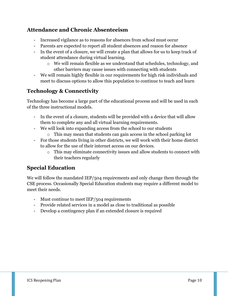# **Attendance and Chronic Absenteeism**

- Increased vigilance as to reasons for absences from school must occur
- Parents are expected to report all student absences and reason for absence
- In the event of a closure, we will create a plan that allows for us to keep track of student attendance during virtual learning.
	- o We will remain flexible as we understand that schedules, technology, and other barriers may cause issues with connecting with students
- We will remain highly flexible in our requirements for high risk individuals and meet to discuss options to allow this population to continue to teach and learn

# **Technology & Connectivity**

Technology has become a large part of the educational process and will be used in each of the three instructional models.

- In the event of a closure, students will be provided with a device that will allow them to complete any and all virtual learning requirements.
- We will look into expanding access from the school to our students
	- o This may mean that students can gain access in the school parking lot
- For those students living in other districts, we will work with their home district to allow for the use of their internet access on our devices.
	- o This may eliminate connectivity issues and allow students to connect with their teachers regularly

# **Special Education**

We will follow the mandated IEP/504 requirements and only change them through the CSE process. Occasionally Special Education students may require a different model to meet their needs.

- Must continue to meet IEP/504 requirements
- Provide related services in a model as close to traditional as possible
- Develop a contingency plan if an extended closure is required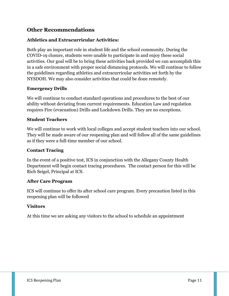## **Other Recommendations**

#### **Athletics and Extracurricular Activities:**

Both play an important role in student life and the school community. During the COVID-19 closure, students were unable to participate in and enjoy these social activities. Our goal will be to bring these activities back provided we can accomplish this in a safe environment with proper social distancing protocols. We will continue to follow the guidelines regarding athletics and extracurricular activities set forth by the NYSDOH. We may also consider activities that could be done remotely.

#### **Emergency Drills**

We will continue to conduct standard operations and procedures to the best of our ability without deviating from current requirements. Education Law and regulation requires Fire (evacuation) Drills and Lockdown Drills. They are no exceptions.

#### **Student Teachers**

We will continue to work with local colleges and accept student teachers into our school. They will be made aware of our reopening plan and will follow all of the same guidelines as if they were a full-time member of our school.

#### **Contact Tracing**

In the event of a positive test, ICS in conjunction with the Allegany County Health Department will begin contact tracing procedures. The contact person for this will be Rich Seigel, Principal at ICS.

#### **After Care Program**

ICS will continue to offer its after school care program. Every precaution listed in this reopening plan will be followed

#### **Visitors**

At this time we are asking any visitors to the school to schedule an appointment